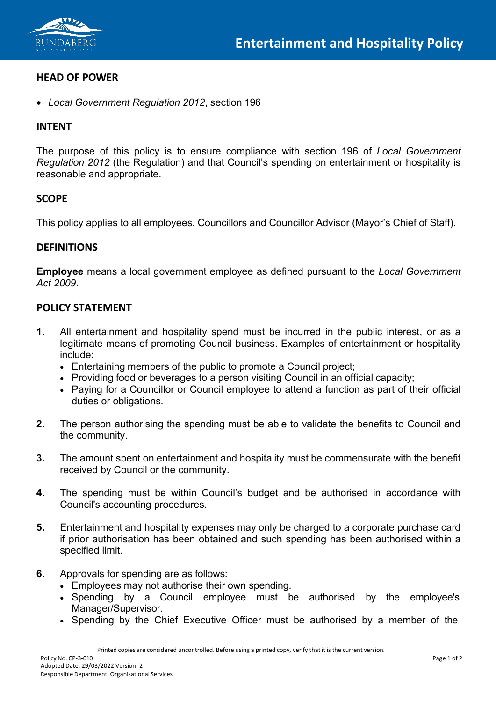

#### **HEAD OF POWER**

• *Local Government Regulation 2012*, section 196

#### **INTENT**

The purpose of this policy is to ensure compliance with section 196 of *Local Government Regulation 2012* (the Regulation) and that Council's spending on entertainment or hospitality is reasonable and appropriate.

### **SCOPE**

This policy applies to all employees, Councillors and Councillor Advisor (Mayor's Chief of Staff).

#### **DEFINITIONS**

**Employee** means a local government employee as defined pursuant to the *Local Government Act 2009*.

#### **POLICY STATEMENT**

- **1.** All entertainment and hospitality spend must be incurred in the public interest, or as a legitimate means of promoting Council business. Examples of entertainment or hospitality include:
	- Entertaining members of the public to promote a Council project;
	- Providing food or beverages to a person visiting Council in an official capacity;
	- Paying for a Councillor or Council employee to attend a function as part of their official duties or obligations.
- **2.** The person authorising the spending must be able to validate the benefits to Council and the community.
- **3.** The amount spent on entertainment and hospitality must be commensurate with the benefit received by Council or the community.
- **4.** The spending must be within Council's budget and be authorised in accordance with Council's accounting procedures.
- **5.** Entertainment and hospitality expenses may only be charged to a corporate purchase card if prior authorisation has been obtained and such spending has been authorised within a specified limit.
- **6.** Approvals for spending are as follows:
	- Employees may not authorise their own spending.
	- Spending by a Council employee must be authorised by the employee's Manager/Supervisor.
	- Spending by the Chief Executive Officer must be authorised by a member of the

Printed copies are considered uncontrolled. Before using a printed copy, verify that it is the current version.